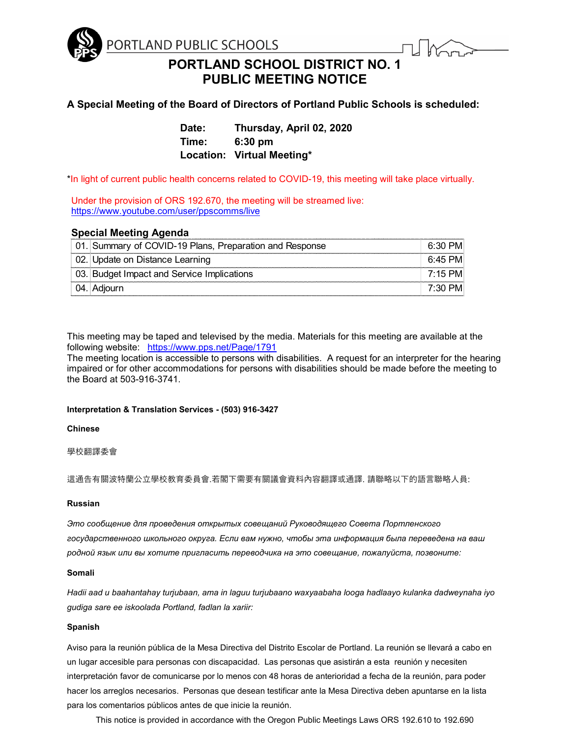

**PORTLAND SCHOOL DISTRICT NO. 1 PUBLIC MEETING NOTICE**

# **A Special Meeting of the Board of Directors of Portland Public Schools is scheduled:**

**Date: Thursday, April 02, 2020 Time: 6:30 pm Location: Virtual Meeting\***

\*In light of current public health concerns related to COVID-19, this meeting will take place virtually.

Under the provision of ORS 192.670, the meeting will be streamed live: <https://www.youtube.com/user/ppscomms/live>

# **Special Meeting Agenda**

| 01. Summary of COVID-19 Plans, Preparation and Response | $6:30$ PM |
|---------------------------------------------------------|-----------|
| 02. Update on Distance Learning                         | 6:45 PM   |
| 03. Budget Impact and Service Implications              | 7:15 PM   |
| . 04.⊺Adjourn                                           | 7:30 PM   |

This meeting may be taped and televised by the media. Materials for this meeting are available at the following website: <https://www.pps.net/Page/1791>

The meeting location is accessible to persons with disabilities. A request for an interpreter for the hearing impaired or for other accommodations for persons with disabilities should be made before the meeting to the Board at 503-916-3741.

# **Interpretation & Translation Services - (503) 916-3427**

**Chinese**

學校翻譯委會

這通告有關波特蘭公立學校教育委員會.若閣下需要有關議會資料內容翻譯或通譯. 請聯略以下的語言聯略人員:

### **Russian**

*Это сообщение для проведения открытых совещаний Руководящего Совета Портленского государственного школьного округа. Если вам нужно, чтобы эта информация была переведена на ваш родной язык или вы хотите пригласить переводчика на это совещание, пожалуйста, позвоните:*

#### **Somali**

*Hadii aad u baahantahay turjubaan, ama in laguu turjubaano waxyaabaha looga hadlaayo kulanka dadweynaha iyo gudiga sare ee iskoolada Portland, fadlan la xariir:* 

#### **Spanish**

Aviso para la reunión pública de la Mesa Directiva del Distrito Escolar de Portland. La reunión se llevará a cabo en un lugar accesible para personas con discapacidad. Las personas que asistirán a esta reunión y necesiten interpretación favor de comunicarse por lo menos con 48 horas de anterioridad a fecha de la reunión, para poder hacer los arreglos necesarios. Personas que desean testificar ante la Mesa Directiva deben apuntarse en la lista para los comentarios públicos antes de que inicie la reunión.

This notice is provided in accordance with the Oregon Public Meetings Laws ORS 192.610 to 192.690